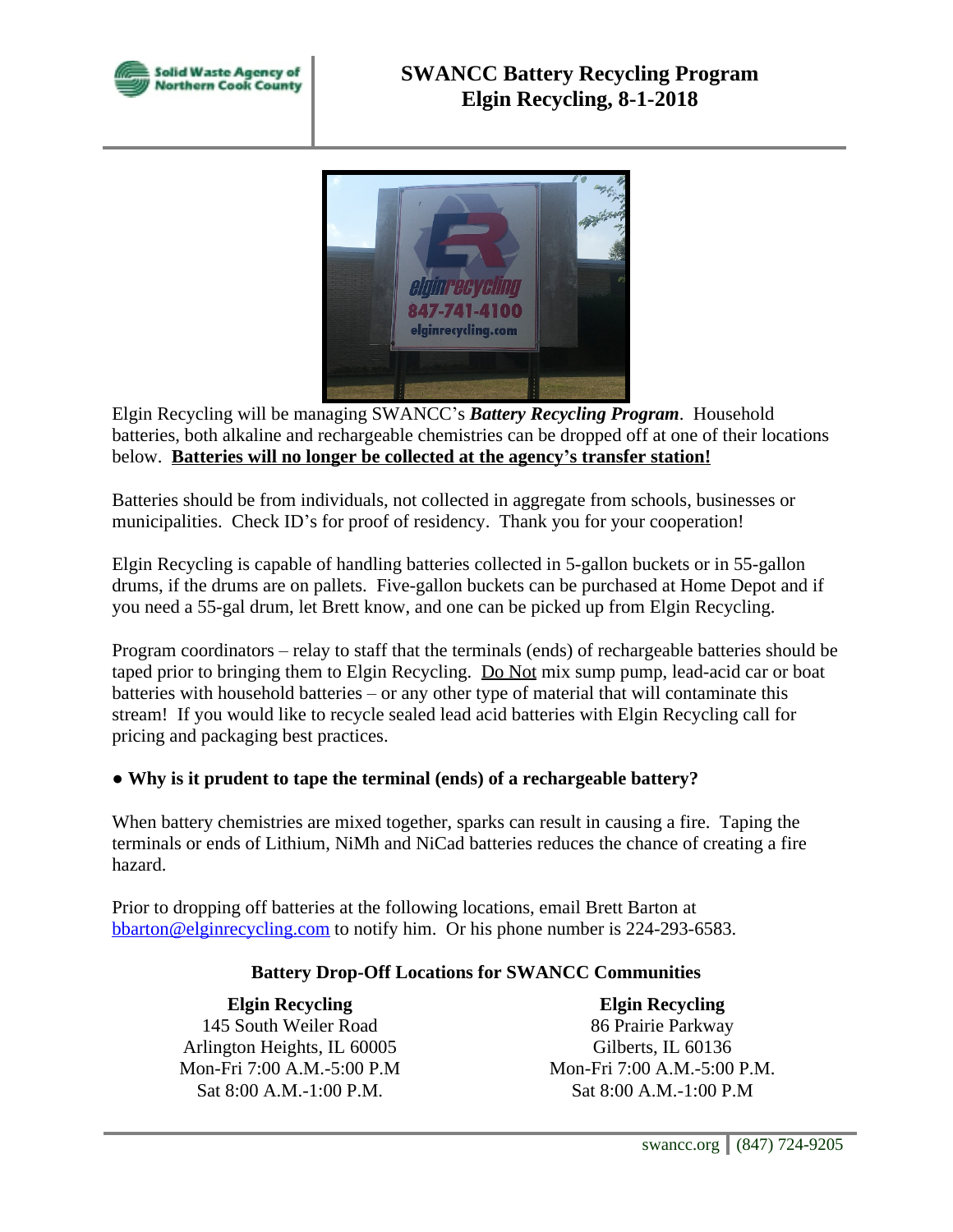



Elgin Recycling will be managing SWANCC's *Battery Recycling Program*. Household batteries, both alkaline and rechargeable chemistries can be dropped off at one of their locations below. **Batteries will no longer be collected at the agency's transfer station!**

Batteries should be from individuals, not collected in aggregate from schools, businesses or municipalities. Check ID's for proof of residency. Thank you for your cooperation!

Elgin Recycling is capable of handling batteries collected in 5-gallon buckets or in 55-gallon drums, if the drums are on pallets. Five-gallon buckets can be purchased at Home Depot and if you need a 55-gal drum, let Brett know, and one can be picked up from Elgin Recycling.

Program coordinators – relay to staff that the terminals (ends) of rechargeable batteries should be taped prior to bringing them to Elgin Recycling. Do Not mix sump pump, lead-acid car or boat batteries with household batteries – or any other type of material that will contaminate this stream! If you would like to recycle sealed lead acid batteries with Elgin Recycling call for pricing and packaging best practices.

## **● Why is it prudent to tape the terminal (ends) of a rechargeable battery?**

When battery chemistries are mixed together, sparks can result in causing a fire. Taping the terminals or ends of Lithium, NiMh and NiCad batteries reduces the chance of creating a fire hazard.

Prior to dropping off batteries at the following locations, email Brett Barton at [bbarton@elginrecycling.com](mailto:bbarton@elginrecycling.com) to notify him. Or his phone number is 224-293-6583.

## **Battery Drop-Off Locations for SWANCC Communities**

**Elgin Recycling** 145 South Weiler Road Arlington Heights, IL 60005 Mon-Fri 7:00 A.M.-5:00 P.M Sat 8:00 A.M.-1:00 P.M.

**Elgin Recycling** 86 Prairie Parkway Gilberts, IL 60136 Mon-Fri 7:00 A.M.-5:00 P.M. Sat 8:00 A.M.-1:00 P.M